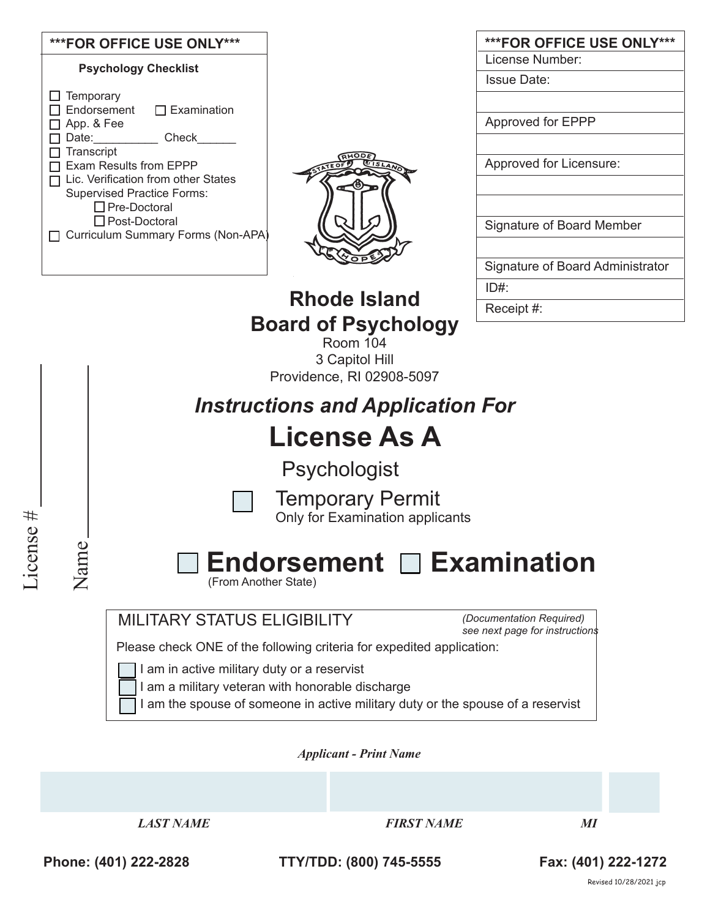| ***FOR OFFICE USE ONLY***                                     |                                         | ***FOR OFFICE USE ONLY***        |
|---------------------------------------------------------------|-----------------------------------------|----------------------------------|
| <b>Psychology Checklist</b>                                   |                                         | License Number:                  |
|                                                               |                                         | <b>Issue Date:</b>               |
| Temporary<br>Endorsement<br>$\Box$ Examination                |                                         |                                  |
| App. & Fee                                                    |                                         | Approved for EPPP                |
| Check<br>Date:                                                |                                         |                                  |
| Transcript                                                    |                                         |                                  |
| Exam Results from EPPP<br>Lic. Verification from other States |                                         | Approved for Licensure:          |
| <b>Supervised Practice Forms:</b>                             |                                         |                                  |
| □ Pre-Doctoral                                                |                                         |                                  |
| □ Post-Doctoral                                               |                                         | Signature of Board Member        |
| Curriculum Summary Forms (Non-APA)                            |                                         |                                  |
|                                                               |                                         | Signature of Board Administrator |
|                                                               |                                         | ID#                              |
|                                                               | <b>Rhode Island</b>                     | Receipt #:                       |
|                                                               | <b>Board of Psychology</b>              |                                  |
|                                                               | <b>Room 104</b>                         |                                  |
|                                                               | 3 Capitol Hill                          |                                  |
|                                                               | Providence, RI 02908-5097               |                                  |
|                                                               |                                         |                                  |
|                                                               | <b>Instructions and Application For</b> |                                  |
|                                                               | <b>License As A</b>                     |                                  |
|                                                               |                                         |                                  |

Psychologist

Temporary Permit

Only for Examination applicants

License # License #

Name

# Endorsement **Examination**

(From Another State)

MILITARY STATUS ELIGIBILITY

*(Documentation Required) see next page for instructions*

Please check ONE of the following criteria for expedited application:

I am in active military duty or a reservist

I am a military veteran with honorable discharge

I am the spouse of someone in active military duty or the spouse of a reservist

*Applicant - Print Name* 

*LAST NAME FIRST NAME MI*

**Phone: (401) 222-2828 TTY/TDD: (800) 745-5555 Fax: (401) 222-1272**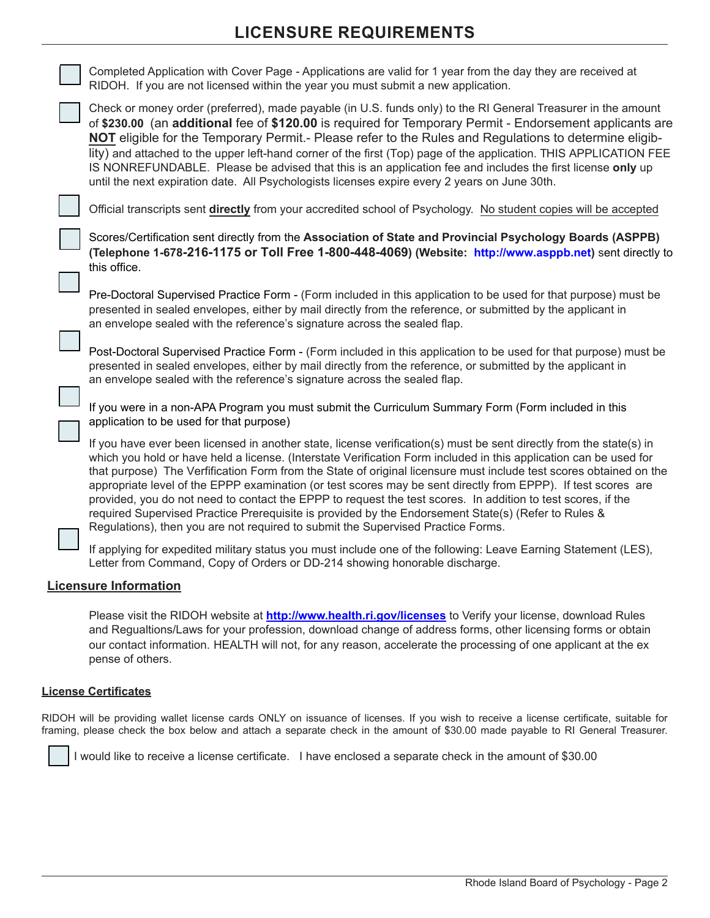# **LICENSURE REQUIREMENTS**

| Completed Application with Cover Page - Applications are valid for 1 year from the day they are received at<br>RIDOH. If you are not licensed within the year you must submit a new application.                                                                                                                                                                                                                                                                                                                                                                                                                                                                                                                                                                                           |
|--------------------------------------------------------------------------------------------------------------------------------------------------------------------------------------------------------------------------------------------------------------------------------------------------------------------------------------------------------------------------------------------------------------------------------------------------------------------------------------------------------------------------------------------------------------------------------------------------------------------------------------------------------------------------------------------------------------------------------------------------------------------------------------------|
| Check or money order (preferred), made payable (in U.S. funds only) to the RI General Treasurer in the amount<br>of \$230.00 (an additional fee of \$120.00 is required for Temporary Permit - Endorsement applicants are<br>NOT eligible for the Temporary Permit.- Please refer to the Rules and Regulations to determine eligib-<br>lity) and attached to the upper left-hand corner of the first (Top) page of the application. THIS APPLICATION FEE<br>IS NONREFUNDABLE. Please be advised that this is an application fee and includes the first license only up<br>until the next expiration date. All Psychologists licenses expire every 2 years on June 30th.                                                                                                                    |
| Official transcripts sent directly from your accredited school of Psychology. No student copies will be accepted                                                                                                                                                                                                                                                                                                                                                                                                                                                                                                                                                                                                                                                                           |
| Scores/Certification sent directly from the Association of State and Provincial Psychology Boards (ASPPB)<br>(Telephone 1-678-216-1175 or Toll Free 1-800-448-4069) (Website: http://www.asppb.net) sent directly to<br>this office.                                                                                                                                                                                                                                                                                                                                                                                                                                                                                                                                                       |
| Pre-Doctoral Supervised Practice Form - (Form included in this application to be used for that purpose) must be<br>presented in sealed envelopes, either by mail directly from the reference, or submitted by the applicant in<br>an envelope sealed with the reference's signature across the sealed flap.                                                                                                                                                                                                                                                                                                                                                                                                                                                                                |
| Post-Doctoral Supervised Practice Form - (Form included in this application to be used for that purpose) must be<br>presented in sealed envelopes, either by mail directly from the reference, or submitted by the applicant in<br>an envelope sealed with the reference's signature across the sealed flap.                                                                                                                                                                                                                                                                                                                                                                                                                                                                               |
| If you were in a non-APA Program you must submit the Curriculum Summary Form (Form included in this<br>application to be used for that purpose)                                                                                                                                                                                                                                                                                                                                                                                                                                                                                                                                                                                                                                            |
| If you have ever been licensed in another state, license verification(s) must be sent directly from the state(s) in<br>which you hold or have held a license. (Interstate Verification Form included in this application can be used for<br>that purpose) The Verfification Form from the State of original licensure must include test scores obtained on the<br>appropriate level of the EPPP examination (or test scores may be sent directly from EPPP). If test scores are<br>provided, you do not need to contact the EPPP to request the test scores. In addition to test scores, if the<br>required Supervised Practice Prerequisite is provided by the Endorsement State(s) (Refer to Rules &<br>Regulations), then you are not required to submit the Supervised Practice Forms. |
| If applying for expedited military status you must include one of the following: Leave Earning Statement (LES),<br>Letter from Command, Copy of Orders or DD-214 showing honorable discharge.                                                                                                                                                                                                                                                                                                                                                                                                                                                                                                                                                                                              |
| <b>Licensure Information</b>                                                                                                                                                                                                                                                                                                                                                                                                                                                                                                                                                                                                                                                                                                                                                               |
|                                                                                                                                                                                                                                                                                                                                                                                                                                                                                                                                                                                                                                                                                                                                                                                            |

Please visit the RIDOH website at **http://www.health.ri.gov/licenses** to Verify your license, download Rules and Regualtions/Laws for your profession, download change of address forms, other licensing forms or obtain our contact information. HEALTH will not, for any reason, accelerate the processing of one applicant at the ex pense of others.

### **License Certificates**

RIDOH will be providing wallet license cards ONLY on issuance of licenses. If you wish to receive a license certificate, suitable for framing, please check the box below and attach a separate check in the amount of \$30.00 made payable to RI General Treasurer.

I would like to receive a license certificate. I have enclosed a separate check in the amount of \$30.00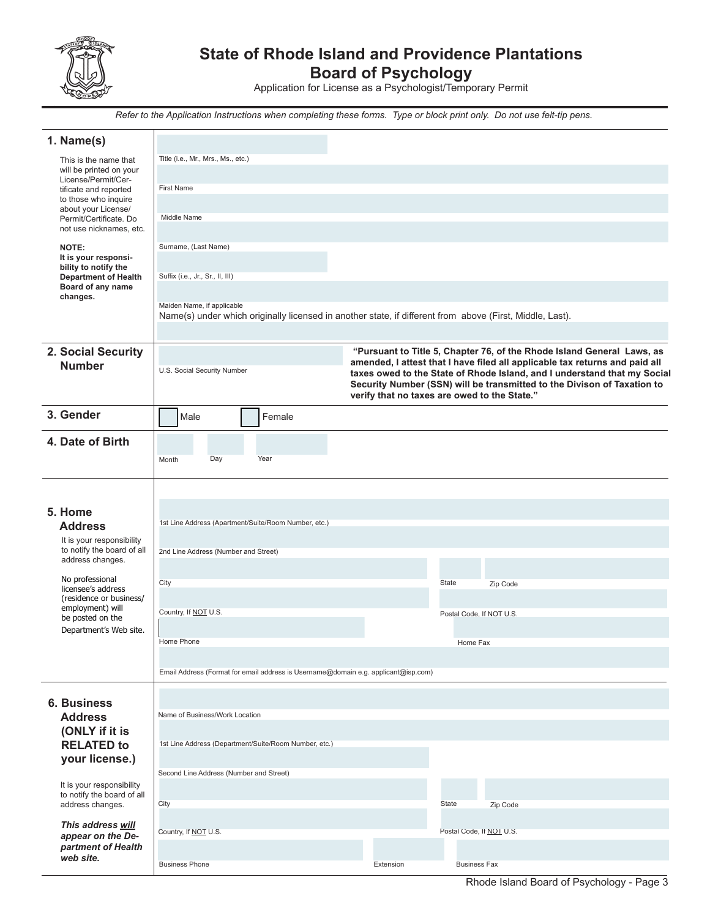

# **State of Rhode Island and Providence Plantations**

**Board of Psychology**

Application for License as a Psychologist/Temporary Permit

*Refer to the Application Instructions when completing these forms. Type or block print only. Do not use felt-tip pens.*

| 1. Name(s)                                              |                                                                                                                                        |                                              |                          |                                                                                                                                                     |
|---------------------------------------------------------|----------------------------------------------------------------------------------------------------------------------------------------|----------------------------------------------|--------------------------|-----------------------------------------------------------------------------------------------------------------------------------------------------|
| This is the name that                                   | Title (i.e., Mr., Mrs., Ms., etc.)                                                                                                     |                                              |                          |                                                                                                                                                     |
| will be printed on your<br>License/Permit/Cer-          |                                                                                                                                        |                                              |                          |                                                                                                                                                     |
| tificate and reported<br>to those who inquire           | <b>First Name</b>                                                                                                                      |                                              |                          |                                                                                                                                                     |
| about your License/                                     | Middle Name                                                                                                                            |                                              |                          |                                                                                                                                                     |
| Permit/Certificate. Do<br>not use nicknames, etc.       |                                                                                                                                        |                                              |                          |                                                                                                                                                     |
| <b>NOTE:</b>                                            | Surname, (Last Name)                                                                                                                   |                                              |                          |                                                                                                                                                     |
| It is your responsi-<br>bility to notify the            |                                                                                                                                        |                                              |                          |                                                                                                                                                     |
| <b>Department of Health</b>                             | Suffix (i.e., Jr., Sr., II, III)                                                                                                       |                                              |                          |                                                                                                                                                     |
| Board of any name<br>changes.                           |                                                                                                                                        |                                              |                          |                                                                                                                                                     |
|                                                         | Maiden Name, if applicable<br>Name(s) under which originally licensed in another state, if different from above (First, Middle, Last). |                                              |                          |                                                                                                                                                     |
|                                                         |                                                                                                                                        |                                              |                          |                                                                                                                                                     |
| 2. Social Security                                      |                                                                                                                                        |                                              |                          | "Pursuant to Title 5, Chapter 76, of the Rhode Island General Laws, as                                                                              |
| <b>Number</b>                                           | U.S. Social Security Number                                                                                                            |                                              |                          | amended, I attest that I have filed all applicable tax returns and paid all                                                                         |
|                                                         |                                                                                                                                        |                                              |                          | taxes owed to the State of Rhode Island, and I understand that my Social<br>Security Number (SSN) will be transmitted to the Divison of Taxation to |
|                                                         |                                                                                                                                        | verify that no taxes are owed to the State." |                          |                                                                                                                                                     |
| 3. Gender                                               | Female<br>Male                                                                                                                         |                                              |                          |                                                                                                                                                     |
| 4. Date of Birth                                        |                                                                                                                                        |                                              |                          |                                                                                                                                                     |
|                                                         | Year<br>Day<br>Month                                                                                                                   |                                              |                          |                                                                                                                                                     |
|                                                         |                                                                                                                                        |                                              |                          |                                                                                                                                                     |
|                                                         |                                                                                                                                        |                                              |                          |                                                                                                                                                     |
| 5. Home                                                 |                                                                                                                                        |                                              |                          |                                                                                                                                                     |
| <b>Address</b>                                          | 1st Line Address (Apartment/Suite/Room Number, etc.)                                                                                   |                                              |                          |                                                                                                                                                     |
| It is your responsibility<br>to notify the board of all |                                                                                                                                        |                                              |                          |                                                                                                                                                     |
| address changes.                                        | 2nd Line Address (Number and Street)                                                                                                   |                                              |                          |                                                                                                                                                     |
| No professional                                         | City                                                                                                                                   |                                              | State                    | Zip Code                                                                                                                                            |
| licensee's address<br>(residence or business/           |                                                                                                                                        |                                              |                          |                                                                                                                                                     |
| employment) will<br>be posted on the                    | Country, If NOT U.S.                                                                                                                   |                                              | Postal Code. If NOT U.S. |                                                                                                                                                     |
| Department's Web site.                                  |                                                                                                                                        |                                              |                          |                                                                                                                                                     |
|                                                         | Home Phone                                                                                                                             |                                              | Home Fax                 |                                                                                                                                                     |
|                                                         |                                                                                                                                        |                                              |                          |                                                                                                                                                     |
|                                                         | Email Address (Format for email address is Username@domain e.g. applicant@isp.com)                                                     |                                              |                          |                                                                                                                                                     |
| <b>6. Business</b>                                      |                                                                                                                                        |                                              |                          |                                                                                                                                                     |
| <b>Address</b>                                          | Name of Business/Work Location                                                                                                         |                                              |                          |                                                                                                                                                     |
| (ONLY if it is                                          |                                                                                                                                        |                                              |                          |                                                                                                                                                     |
| <b>RELATED to</b>                                       | 1st Line Address (Department/Suite/Room Number, etc.)                                                                                  |                                              |                          |                                                                                                                                                     |
| your license.)                                          | Second Line Address (Number and Street)                                                                                                |                                              |                          |                                                                                                                                                     |
| It is your responsibility                               |                                                                                                                                        |                                              |                          |                                                                                                                                                     |
| to notify the board of all<br>address changes.          | City                                                                                                                                   |                                              | State                    | Zip Code                                                                                                                                            |
| This address will                                       |                                                                                                                                        |                                              |                          |                                                                                                                                                     |
| appear on the De-                                       | Country, If NOT U.S.                                                                                                                   |                                              | Postal Code, If NOT U.S. |                                                                                                                                                     |
| partment of Health<br>web site.                         |                                                                                                                                        |                                              |                          |                                                                                                                                                     |
|                                                         | <b>Business Phone</b>                                                                                                                  | Extension                                    | <b>Business Fax</b>      |                                                                                                                                                     |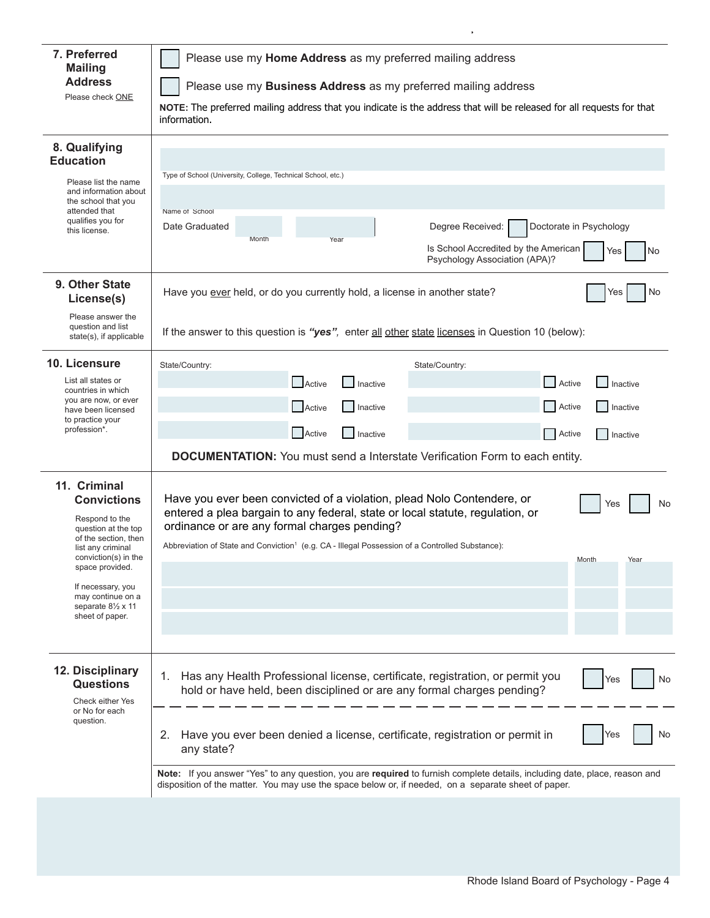| 7. Preferred<br><b>Mailing</b><br><b>Address</b><br>Please check ONE                                                                                                                                                                                             | Please use my Home Address as my preferred mailing address<br>Please use my Business Address as my preferred mailing address<br>NOTE: The preferred mailing address that you indicate is the address that will be released for all requests for that<br>information.                                                                                                                                                                                                                                                            |  |  |  |  |  |  |
|------------------------------------------------------------------------------------------------------------------------------------------------------------------------------------------------------------------------------------------------------------------|---------------------------------------------------------------------------------------------------------------------------------------------------------------------------------------------------------------------------------------------------------------------------------------------------------------------------------------------------------------------------------------------------------------------------------------------------------------------------------------------------------------------------------|--|--|--|--|--|--|
| 8. Qualifying<br><b>Education</b><br>Please list the name<br>and information about<br>the school that you<br>attended that<br>qualifies you for<br>this license.                                                                                                 | Type of School (University, College, Technical School, etc.)<br>Name of School<br>Doctorate in Psychology<br>Degree Received:<br>Date Graduated<br>Month<br>Year<br>Is School Accredited by the American<br>Yes<br>No<br>Psychology Association (APA)?                                                                                                                                                                                                                                                                          |  |  |  |  |  |  |
| 9. Other State<br>License(s)<br>Please answer the<br>question and list<br>state(s), if applicable                                                                                                                                                                | Have you ever held, or do you currently hold, a license in another state?<br>No<br>Yes<br>If the answer to this question is "yes", enter all other state licenses in Question 10 (below):                                                                                                                                                                                                                                                                                                                                       |  |  |  |  |  |  |
| 10. Licensure<br>List all states or<br>countries in which<br>you are now, or ever<br>have been licensed<br>to practice your<br>profession*.                                                                                                                      | State/Country:<br>State/Country:<br>Active<br>Active<br>Inactive<br>Inactive<br>Active<br>Active<br><b>Inactive</b><br>  Inactive<br>Active<br>Active<br>Inactive<br>Inactive<br><b>DOCUMENTATION:</b> You must send a Interstate Verification Form to each entity.                                                                                                                                                                                                                                                             |  |  |  |  |  |  |
| 11. Criminal<br><b>Convictions</b><br>Respond to the<br>question at the top<br>of the section, then<br>list any criminal<br>conviction(s) in the<br>space provided.<br>If necessary, you<br>may continue on a<br>separate $8\frac{1}{2}$ x 11<br>sheet of paper. | Have you ever been convicted of a violation, plead Nolo Contendere, or<br>Yes<br>No<br>entered a plea bargain to any federal, state or local statute, regulation, or<br>ordinance or are any formal charges pending?<br>Abbreviation of State and Conviction <sup>1</sup> (e.g. CA - Illegal Possession of a Controlled Substance):<br>Month<br>Year                                                                                                                                                                            |  |  |  |  |  |  |
| 12. Disciplinary<br><b>Questions</b><br><b>Check either Yes</b><br>or No for each<br>question.                                                                                                                                                                   | Has any Health Professional license, certificate, registration, or permit you<br>1.<br>Yes<br>No<br>hold or have held, been disciplined or are any formal charges pending?<br>Have you ever been denied a license, certificate, registration or permit in<br>2.<br>Yes<br>No<br>any state?<br>Note: If you answer "Yes" to any question, you are required to furnish complete details, including date, place, reason and<br>disposition of the matter. You may use the space below or, if needed, on a separate sheet of paper. |  |  |  |  |  |  |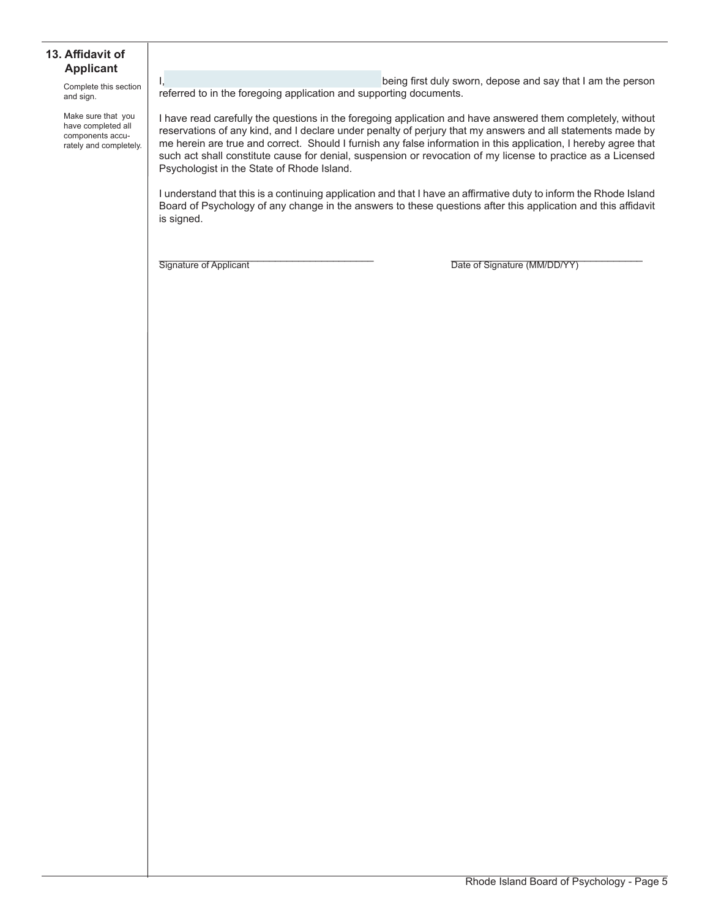#### **13. Affidavit of Applicant**

Complete this section and sign.

Make sure that you have completed all components accurately and completely.

I, the contract of the contract of the being first duly sworn, depose and say that I am the person referred to in the foregoing application and supporting documents.

I have read carefully the questions in the foregoing application and have answered them completely, without reservations of any kind, and I declare under penalty of perjury that my answers and all statements made by me herein are true and correct. Should I furnish any false information in this application, I hereby agree that such act shall constitute cause for denial, suspension or revocation of my license to practice as a Licensed Psychologist in the State of Rhode Island.

I understand that this is a continuing application and that I have an affirmative duty to inform the Rhode Island Board of Psychology of any change in the answers to these questions after this application and this affidavit is signed.

Signature of Applicant **Example 20** The Signature (MM/DD/YY)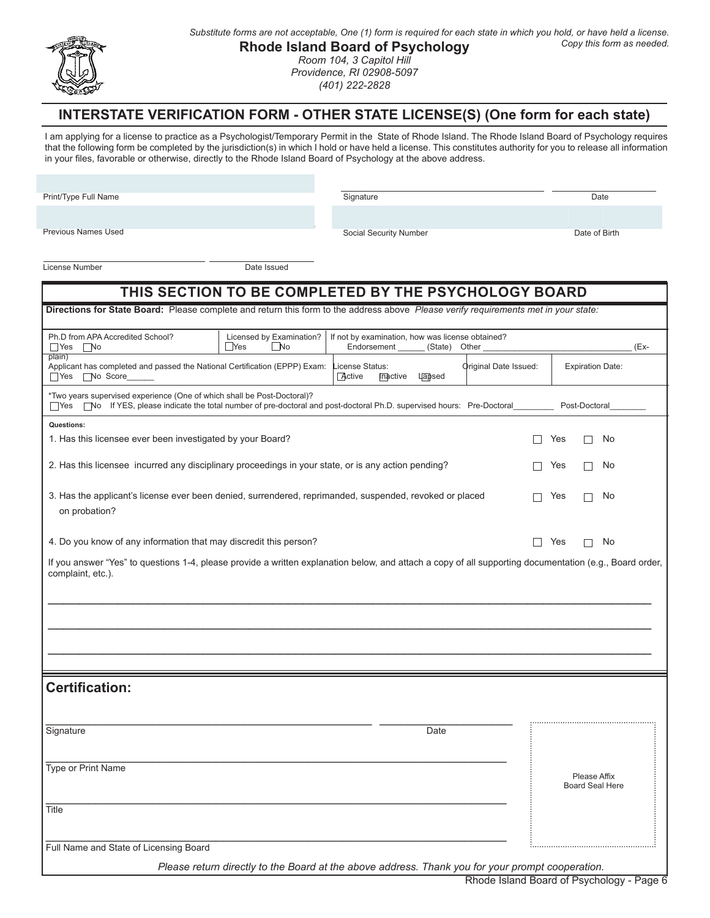

*Substitute forms are not acceptable, One (1) form is required for each state in which you hold, or have held a license. Copy this form as needed.*

### **Rhode Island Board of Psychology**

*Room 104, 3 Capitol Hill Providence, RI 02908-5097 (401) 222-2828*

## **INTERSTATE VERIFICATION FORM - OTHER STATE LICENSE(S) (One form for each state)**

I am applying for a license to practice as a Psychologist/Temporary Permit in the State of Rhode Island. The Rhode Island Board of Psychology requires that the following form be completed by the jurisdiction(s) in which I hold or have held a license. This constitutes authority for you to release all information in your files, favorable or otherwise, directly to the Rhode Island Board of Psychology at the above address.

Print/Type Full Name

Signature Date

Previous Names Used

Social Security Number Date of Birth

# Please Affix Board Seal Here License Number Date Issued **THIS SECTION TO BE COMPLETED BY THE PSYCHOLOGY BOARD Certification:**  $\_$  , and the set of the set of the set of the set of the set of the set of the set of the set of the set of the set of the set of the set of the set of the set of the set of the set of the set of the set of the set of th Signature Date **Date of the Contract of Contract Contract of Contract Contract Contract Only and D**ate Date Date \_\_\_\_\_\_\_\_\_\_\_\_\_\_\_\_\_\_\_\_\_\_\_\_\_\_\_\_\_\_\_\_\_\_\_\_\_\_\_\_\_\_\_\_\_\_\_\_\_\_\_\_\_\_\_\_\_\_\_\_\_\_\_\_\_ Type or Print Name \_\_\_\_\_\_\_\_\_\_\_\_\_\_\_\_\_\_\_\_\_\_\_\_\_\_\_\_\_\_\_\_\_\_\_\_\_\_\_\_\_\_\_\_\_\_\_\_\_\_\_\_\_\_\_\_\_\_\_\_\_\_\_\_\_ **Title** Ph.D from APA Accredited School? Licensed by Examination? If not by examination, how was license obtained?<br>
No Endorsement (State) Other (State) Yes No Yes No Endorsement \_\_\_\_\_\_ (State) Other \_\_\_\_\_\_\_\_\_\_\_\_\_\_\_\_\_\_\_\_\_\_\_\_\_\_\_\_\_\_\_\_\_ (Explain) Applicant has completed and passed the National Certification (EPPP) Exam: License Status: Original Date Issued: Expiration Date:<br>□ Yes No Score\_\_\_\_\_\_ Yes No Score \*Two years supervised experience (One of which shall be Post-Doctoral)? Tes No If YES, please indicate the total number of pre-doctoral and post-doctoral Ph.D. supervised hours: Pre-Doctoral\_\_\_\_\_\_\_\_\_\_ Post-Doctoral **Directions for State Board:** Please complete and return this form to the address above *Please verify requirements met in your state:* If you answer "Yes" to questions 1-4, please provide a written explanation below, and attach a copy of all supporting documentation (e.g., Board order, complaint, etc.). \_\_\_\_\_\_\_\_\_\_\_\_\_\_\_\_\_\_\_\_\_\_\_\_\_\_\_\_\_\_\_\_\_\_\_\_\_\_\_\_\_\_\_\_\_\_\_\_\_\_\_\_\_\_\_\_\_\_\_\_\_\_\_\_\_\_\_\_\_\_\_\_\_\_\_\_\_\_ \_\_\_\_\_\_\_\_\_\_\_\_\_\_\_\_\_\_\_\_\_\_\_\_\_\_\_\_\_\_\_\_\_\_\_\_\_\_\_\_\_\_\_\_\_\_\_\_\_\_\_\_\_\_\_\_\_\_\_\_\_\_\_\_\_\_\_\_\_\_\_\_\_\_\_\_\_\_ \_\_\_\_\_\_\_\_\_\_\_\_\_\_\_\_\_\_\_\_\_\_\_\_\_\_\_\_\_\_\_\_\_\_\_\_\_\_\_\_\_\_\_\_\_\_\_\_\_\_\_\_\_\_\_\_\_\_\_\_\_\_\_\_\_\_\_\_\_\_\_\_\_\_\_\_\_\_ **Questions:** 1. Has this licensee ever been investigated by your Board?  $\Box$  Yes  $\Box$  No 2. Has this licensee incurred any disciplinary proceedings in your state, or is any action pending?  $\Box$  Yes  $\Box$  No 3. Has the applicant's license ever been denied, surrendered, reprimanded, suspended, revoked or placed  $\square$  Yes  $\square$  No on probation? 4. Do you know of any information that may discredit this person?

\_\_\_\_\_\_\_\_\_\_\_\_\_\_\_\_\_\_\_\_\_\_\_\_\_\_\_\_\_\_\_\_\_\_\_\_\_\_\_\_\_\_\_\_\_\_\_\_\_\_\_\_\_\_\_\_\_\_\_\_\_\_\_\_\_ Full Name and State of Licensing Board

*Please return directly to the Board at the above address. Thank you for your prompt cooperation.*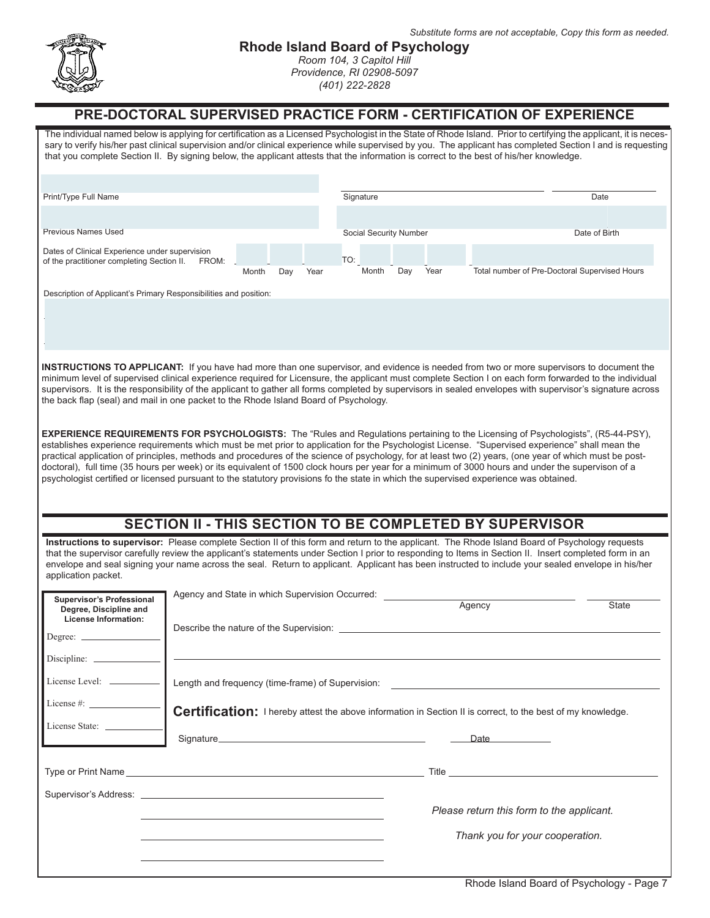

## **Rhode Island Board of Psychology**

*Room 104, 3 Capitol Hill Providence, RI 02908-5097 (401) 222-2828*

## **PRE-DOCTORAL SUPERVISED PRACTICE FORM - CERTIFICATION OF EXPERIENCE**

The individual named below is applying for certification as a Licensed Psychologist in the State of Rhode Island. Prior to certifying the applicant, it is necessary to verify his/her past clinical supervision and/or clinical experience while supervised by you. The applicant has completed Section I and is requesting that you complete Section II. By signing below, the applicant attests that the information is correct to the best of his/her knowledge. Print/Type Full Name Previous Names Used Dates of Clinical Experience under supervision of the practitioner completing Section II. FROM: Month Day Year Signature Date **Date** Social Security Number Date of Birth TO: Month Day Year Total number of Pre-Doctoral Supervised Hours Description of Applicant's Primary Responsibilities and position: **INSTRUCTIONS TO APPLICANT:** If you have had more than one supervisor, and evidence is needed from two or more supervisors to document the minimum level of supervised clinical experience required for Licensure, the applicant must complete Section I on each form forwarded to the individual supervisors. It is the responsibility of the applicant to gather all forms completed by supervisors in sealed envelopes with supervisor's signature across the back flap (seal) and mail in one packet to the Rhode Island Board of Psychology. **EXPERIENCE REQUIREMENTS FOR PSYCHOLOGISTS:** The "Rules and Regulations pertaining to the Licensing of Psychologists", (R5-44-PSY), establishes experience requirements which must be met prior to application for the Psychologist License. "Supervised experience" shall mean the practical application of principles, methods and procedures of the science of psychology, for at least two (2) years, (one year of which must be postdoctoral), full time (35 hours per week) or its equivalent of 1500 clock hours per year for a minimum of 3000 hours and under the supervison of a psychologist certified or licensed pursuant to the statutory provisions fo the state in which the supervised experience was obtained. Degree: Discipline: \_ License Level: \_ License #: \_ License State: **Supervisor's Professional Degree, Discipline and License Information: SECTION II - THIS SECTION TO BE COMPLETED BY SUPERVISOR Instructions to supervisor:** Please complete Section II of this form and return to the applicant. The Rhode Island Board of Psychology requests that the supervisor carefully review the applicant's statements under Section I prior to responding to Items in Section II. Insert completed form in an envelope and seal signing your name across the seal. Return to applicant. Applicant has been instructed to include your sealed envelope in his/her application packet. *Please return this form to the applicant. Thank you for your cooperation.* Signature Date **Date**  Type or Print Name Title Supervisor's Address: Agency and State in which Supervision Occurred: Agency State Describe the nature of the Supervision: Length and frequency (time-frame) of Supervision: Certification: I hereby attest the above information in Section II is correct, to the best of my knowledge.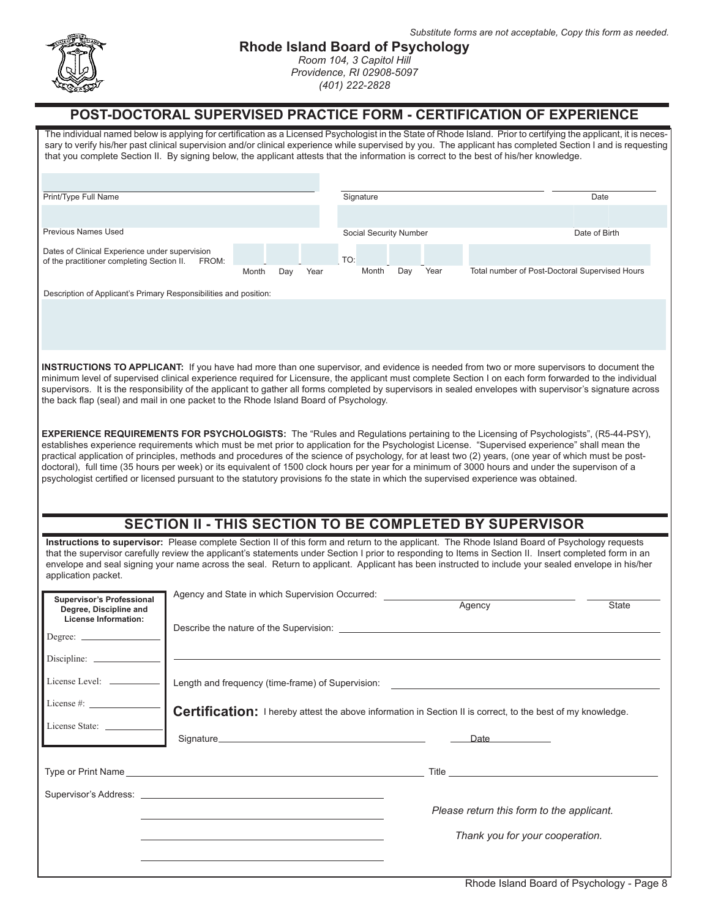

# **Rhode Island Board of Psychology**

*Room 104, 3 Capitol Hill Providence, RI 02908-5097 (401) 222-2828*

# **POST-DOCTORAL SUPERVISED PRACTICE FORM - CERTIFICATION OF EXPERIENCE**

| Print/Type Full Name                                                                                                                                                                                                                                                                                                                                                                                                                                                                                                                                 |                                                                                                             |       |     |      |     | Signature              |     |      |                                                                                                                                                                                                                                | Date                                                                                                                                            |
|------------------------------------------------------------------------------------------------------------------------------------------------------------------------------------------------------------------------------------------------------------------------------------------------------------------------------------------------------------------------------------------------------------------------------------------------------------------------------------------------------------------------------------------------------|-------------------------------------------------------------------------------------------------------------|-------|-----|------|-----|------------------------|-----|------|--------------------------------------------------------------------------------------------------------------------------------------------------------------------------------------------------------------------------------|-------------------------------------------------------------------------------------------------------------------------------------------------|
|                                                                                                                                                                                                                                                                                                                                                                                                                                                                                                                                                      |                                                                                                             |       |     |      |     |                        |     |      |                                                                                                                                                                                                                                |                                                                                                                                                 |
| Previous Names Used                                                                                                                                                                                                                                                                                                                                                                                                                                                                                                                                  |                                                                                                             |       |     |      |     | Social Security Number |     |      |                                                                                                                                                                                                                                | Date of Birth                                                                                                                                   |
| Dates of Clinical Experience under supervision<br>of the practitioner completing Section II.                                                                                                                                                                                                                                                                                                                                                                                                                                                         | FROM:                                                                                                       |       |     |      | TO: |                        |     |      |                                                                                                                                                                                                                                |                                                                                                                                                 |
|                                                                                                                                                                                                                                                                                                                                                                                                                                                                                                                                                      |                                                                                                             | Month | Day | Year |     | Month                  | Day | Year |                                                                                                                                                                                                                                | Total number of Post-Doctoral Supervised Hours                                                                                                  |
| Description of Applicant's Primary Responsibilities and position:                                                                                                                                                                                                                                                                                                                                                                                                                                                                                    |                                                                                                             |       |     |      |     |                        |     |      |                                                                                                                                                                                                                                |                                                                                                                                                 |
| <b>EXPERIENCE REQUIREMENTS FOR PSYCHOLOGISTS:</b> The "Rules and Regulations pertaining to the Licensing of Psychologists", (R5-44-PSY),                                                                                                                                                                                                                                                                                                                                                                                                             |                                                                                                             |       |     |      |     |                        |     |      |                                                                                                                                                                                                                                | establishes experience requirements which must be met prior to application for the Psychologist License. "Supervised experience" shall mean the |
|                                                                                                                                                                                                                                                                                                                                                                                                                                                                                                                                                      |                                                                                                             |       |     |      |     |                        |     |      |                                                                                                                                                                                                                                |                                                                                                                                                 |
|                                                                                                                                                                                                                                                                                                                                                                                                                                                                                                                                                      | SECTION II - THIS SECTION TO BE COMPLETED BY SUPERVISOR                                                     |       |     |      |     |                        |     |      |                                                                                                                                                                                                                                |                                                                                                                                                 |
|                                                                                                                                                                                                                                                                                                                                                                                                                                                                                                                                                      |                                                                                                             |       |     |      |     |                        |     |      |                                                                                                                                                                                                                                |                                                                                                                                                 |
| Instructions to supervisor: Please complete Section II of this form and return to the applicant. The Rhode Island Board of Psychology requests<br>that the supervisor carefully review the applicant's statements under Section I prior to responding to Items in Section II. Insert completed form in an<br>envelope and seal signing your name across the seal. Return to applicant. Applicant has been instructed to include your sealed envelope in his/her<br>application packet.<br><b>Supervisor's Professional</b><br>Degree, Discipline and | Agency and State in which Supervision Occurred:                                                             |       |     |      |     |                        |     |      | Agency                                                                                                                                                                                                                         | State                                                                                                                                           |
| practical application of principles, methods and procedures of the science of psychology, for at least two (2) years, (one year of which must be post-<br>doctoral), full time (35 hours per week) or its equivalent of 1500 clock hours per year for a minimum of 3000 hours and under the supervison of a<br>psychologist certified or licensed pursuant to the statutory provisions fo the state in which the supervised experience was obtained.<br><b>License Information:</b><br>Degree: _                                                     | Describe the nature of the Supervision: Describe the nature of the Supervision:                             |       |     |      |     |                        |     |      |                                                                                                                                                                                                                                |                                                                                                                                                 |
|                                                                                                                                                                                                                                                                                                                                                                                                                                                                                                                                                      |                                                                                                             |       |     |      |     |                        |     |      |                                                                                                                                                                                                                                |                                                                                                                                                 |
|                                                                                                                                                                                                                                                                                                                                                                                                                                                                                                                                                      |                                                                                                             |       |     |      |     |                        |     |      |                                                                                                                                                                                                                                |                                                                                                                                                 |
| License #: $\frac{1}{2}$                                                                                                                                                                                                                                                                                                                                                                                                                                                                                                                             |                                                                                                             |       |     |      |     |                        |     |      |                                                                                                                                                                                                                                |                                                                                                                                                 |
|                                                                                                                                                                                                                                                                                                                                                                                                                                                                                                                                                      | Certification: I hereby attest the above information in Section II is correct, to the best of my knowledge. |       |     |      |     |                        |     |      | Signature Date and Contract Contract Contract Contract Contract Contract Contract Contract Contract Contract Contract Contract Contract Contract Contract Contract Contract Contract Contract Contract Contract Contract Contr |                                                                                                                                                 |
|                                                                                                                                                                                                                                                                                                                                                                                                                                                                                                                                                      |                                                                                                             |       |     |      |     |                        |     |      |                                                                                                                                                                                                                                |                                                                                                                                                 |
|                                                                                                                                                                                                                                                                                                                                                                                                                                                                                                                                                      |                                                                                                             |       |     |      |     |                        |     |      |                                                                                                                                                                                                                                |                                                                                                                                                 |
| Supervisor's Address: Law and Contract and Contract and Contract and Contract and Contract and Contract and Contract and Contract and Contract and Contract and Contract and Contract and Contract and Contract and Contract a                                                                                                                                                                                                                                                                                                                       |                                                                                                             |       |     |      |     |                        |     |      | Please return this form to the applicant.                                                                                                                                                                                      |                                                                                                                                                 |